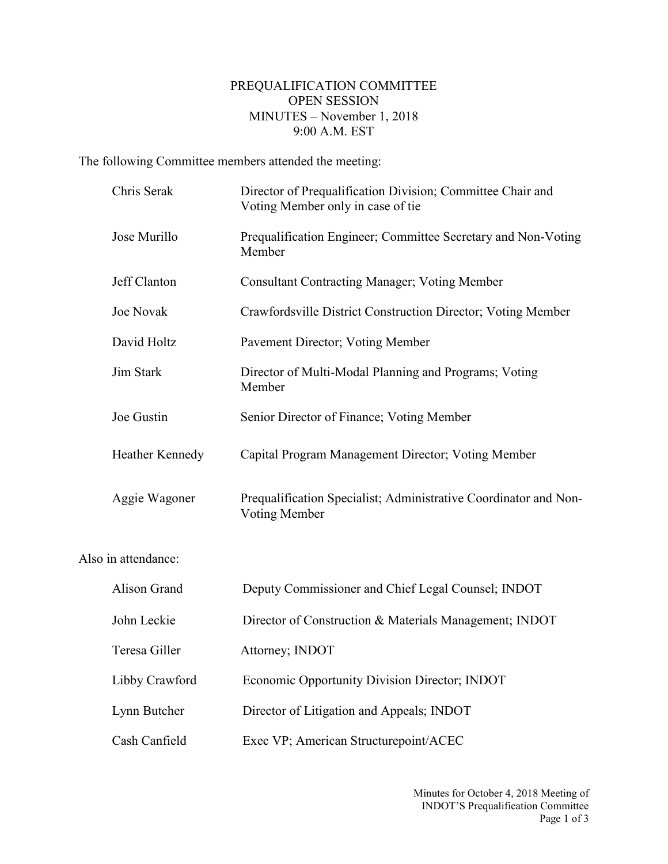## PREQUALIFICATION COMMITTEE OPEN SESSION MINUTES – November 1, 2018 9:00 A.M. EST

The following Committee members attended the meeting:

Also

| Chris Serak         | Director of Prequalification Division; Committee Chair and<br>Voting Member only in case of tie |
|---------------------|-------------------------------------------------------------------------------------------------|
| Jose Murillo        | Prequalification Engineer; Committee Secretary and Non-Voting<br>Member                         |
| Jeff Clanton        | <b>Consultant Contracting Manager; Voting Member</b>                                            |
| Joe Novak           | Crawfordsville District Construction Director; Voting Member                                    |
| David Holtz         | Pavement Director; Voting Member                                                                |
| <b>Jim Stark</b>    | Director of Multi-Modal Planning and Programs; Voting<br>Member                                 |
| Joe Gustin          | Senior Director of Finance; Voting Member                                                       |
| Heather Kennedy     | Capital Program Management Director; Voting Member                                              |
| Aggie Wagoner       | Prequalification Specialist; Administrative Coordinator and Non-<br><b>Voting Member</b>        |
| in attendance:      |                                                                                                 |
| <b>Alison Grand</b> | Deputy Commissioner and Chief Legal Counsel; INDOT                                              |
| John Leckie         | Director of Construction & Materials Management; INDOT                                          |
| Teresa Giller       | Attorney; INDOT                                                                                 |
| Libby Crawford      | Economic Opportunity Division Director; INDOT                                                   |
| Lynn Butcher        | Director of Litigation and Appeals; INDOT                                                       |
| Cash Canfield       | Exec VP; American Structurepoint/ACEC                                                           |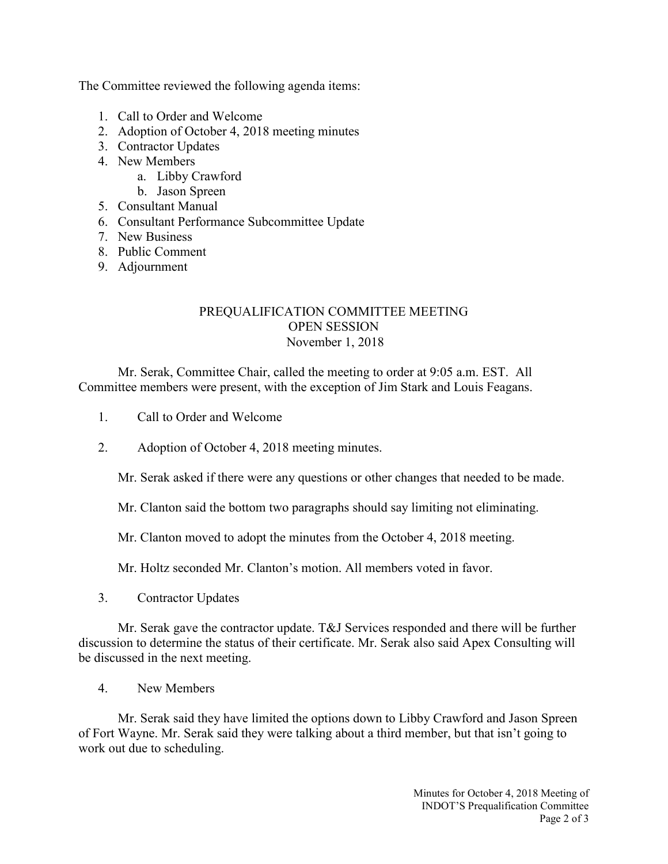The Committee reviewed the following agenda items:

- 1. Call to Order and Welcome
- 2. Adoption of October 4, 2018 meeting minutes
- 3. Contractor Updates
- 4. New Members
	- a. Libby Crawford
	- b. Jason Spreen
- 5. Consultant Manual
- 6. Consultant Performance Subcommittee Update
- 7. New Business
- 8. Public Comment
- 9. Adjournment

## PREQUALIFICATION COMMITTEE MEETING OPEN SESSION November 1, 2018

Mr. Serak, Committee Chair, called the meeting to order at 9:05 a.m. EST. All Committee members were present, with the exception of Jim Stark and Louis Feagans.

- 1. Call to Order and Welcome
- 2. Adoption of October 4, 2018 meeting minutes.

Mr. Serak asked if there were any questions or other changes that needed to be made.

Mr. Clanton said the bottom two paragraphs should say limiting not eliminating.

Mr. Clanton moved to adopt the minutes from the October 4, 2018 meeting.

Mr. Holtz seconded Mr. Clanton's motion. All members voted in favor.

3. Contractor Updates

Mr. Serak gave the contractor update. T&J Services responded and there will be further discussion to determine the status of their certificate. Mr. Serak also said Apex Consulting will be discussed in the next meeting.

4. New Members

Mr. Serak said they have limited the options down to Libby Crawford and Jason Spreen of Fort Wayne. Mr. Serak said they were talking about a third member, but that isn't going to work out due to scheduling.